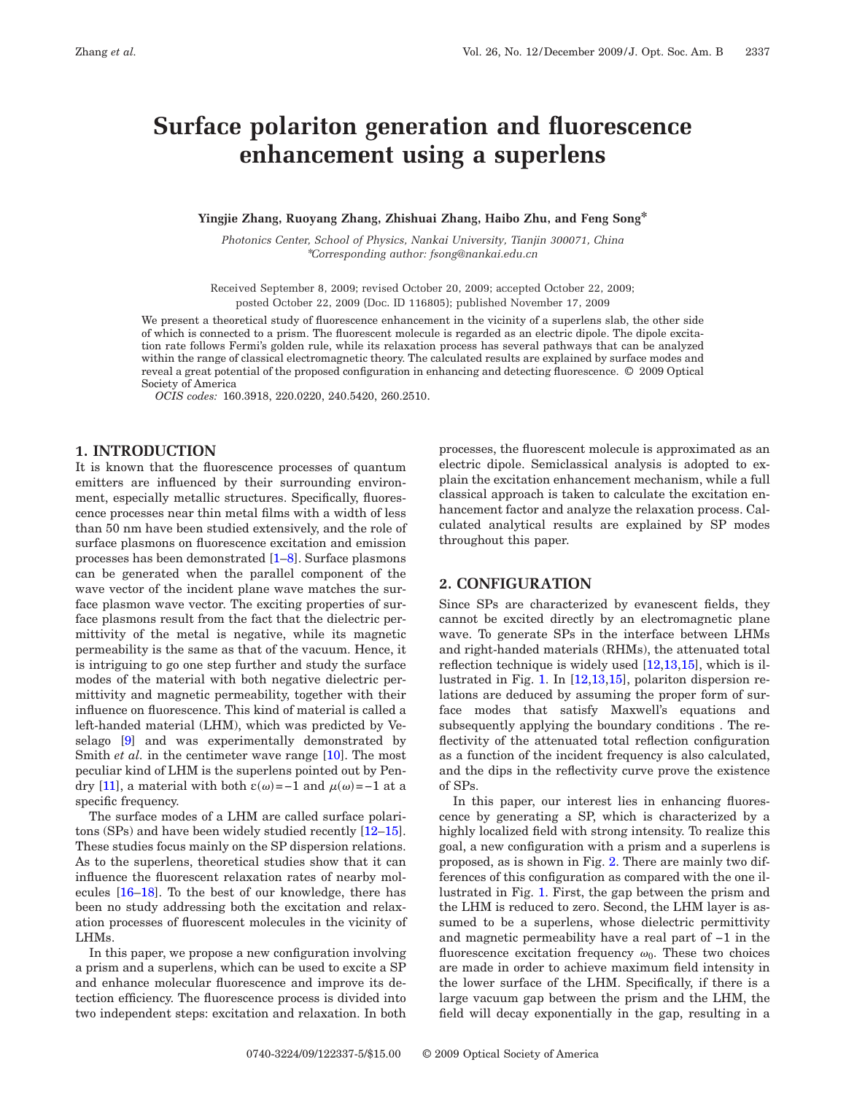# **Surface polariton generation and fluorescence enhancement using a superlens**

#### **Yingjie Zhang, Ruoyang Zhang, Zhishuai Zhang, Haibo Zhu, and Feng Song\***

*Photonics Center, School of Physics, Nankai University, Tianjin 300071, China* \**Corresponding author: fsong@nankai.edu.cn*

Received September 8, 2009; revised October 20, 2009; accepted October 22, 2009; posted October 22, 2009 (Doc. ID 116805); published November 17, 2009

We present a theoretical study of fluorescence enhancement in the vicinity of a superlens slab, the other side of which is connected to a prism. The fluorescent molecule is regarded as an electric dipole. The dipole excitation rate follows Fermi's golden rule, while its relaxation process has several pathways that can be analyzed within the range of classical electromagnetic theory. The calculated results are explained by surface modes and reveal a great potential of the proposed configuration in enhancing and detecting fluorescence. © 2009 Optical Society of America

*OCIS codes:* 160.3918, 220.0220, 240.5420, 260.2510.

# **1. INTRODUCTION**

It is known that the fluorescence processes of quantum emitters are influenced by their surrounding environment, especially metallic structures. Specifically, fluorescence processes near thin metal films with a width of less than 50 nm have been studied extensively, and the role of surface plasmons on fluorescence excitation and emission processes has been demonstrated [\[1–](#page-4-0)[8\]](#page-4-1). Surface plasmons can be generated when the parallel component of the wave vector of the incident plane wave matches the surface plasmon wave vector. The exciting properties of surface plasmons result from the fact that the dielectric permittivity of the metal is negative, while its magnetic permeability is the same as that of the vacuum. Hence, it is intriguing to go one step further and study the surface modes of the material with both negative dielectric permittivity and magnetic permeability, together with their influence on fluorescence. This kind of material is called a left-handed material (LHM), which was predicted by Veselago [\[9\]](#page-4-2) and was experimentally demonstrated by Smith *et al.* in the centimeter wave range [\[10\]](#page-4-3). The most peculiar kind of LHM is the superlens pointed out by Pen-dry [\[11\]](#page-4-4), a material with both  $\varepsilon(\omega) = -1$  and  $\mu(\omega) = -1$  at a specific frequency.

The surface modes of a LHM are called surface polaritons (SPs) and have been widely studied recently [\[12–](#page-4-5)[15\]](#page-4-6). These studies focus mainly on the SP dispersion relations. As to the superlens, theoretical studies show that it can influence the fluorescent relaxation rates of nearby molecules [\[16–](#page-4-7)[18\]](#page-4-8). To the best of our knowledge, there has been no study addressing both the excitation and relaxation processes of fluorescent molecules in the vicinity of LHMs.

In this paper, we propose a new configuration involving a prism and a superlens, which can be used to excite a SP and enhance molecular fluorescence and improve its detection efficiency. The fluorescence process is divided into two independent steps: excitation and relaxation. In both

processes, the fluorescent molecule is approximated as an electric dipole. Semiclassical analysis is adopted to explain the excitation enhancement mechanism, while a full classical approach is taken to calculate the excitation enhancement factor and analyze the relaxation process. Calculated analytical results are explained by SP modes throughout this paper.

# **2. CONFIGURATION**

Since SPs are characterized by evanescent fields, they cannot be excited directly by an electromagnetic plane wave. To generate SPs in the interface between LHMs and right-handed materials (RHMs), the attenuated total reflection technique is widely used [\[12,](#page-4-5)[13,](#page-4-9)[15\]](#page-4-6), which is illustrated in Fig. [1.](#page-1-0) In [\[12,](#page-4-5)[13,](#page-4-9)[15\]](#page-4-6), polariton dispersion relations are deduced by assuming the proper form of surface modes that satisfy Maxwell's equations and subsequently applying the boundary conditions . The reflectivity of the attenuated total reflection configuration as a function of the incident frequency is also calculated, and the dips in the reflectivity curve prove the existence of SPs.

In this paper, our interest lies in enhancing fluorescence by generating a SP, which is characterized by a highly localized field with strong intensity. To realize this goal, a new configuration with a prism and a superlens is proposed, as is shown in Fig. [2.](#page-1-1) There are mainly two differences of this configuration as compared with the one illustrated in Fig. [1.](#page-1-0) First, the gap between the prism and the LHM is reduced to zero. Second, the LHM layer is assumed to be a superlens, whose dielectric permittivity and magnetic permeability have a real part of −1 in the fluorescence excitation frequency  $\omega_0$ . These two choices are made in order to achieve maximum field intensity in the lower surface of the LHM. Specifically, if there is a large vacuum gap between the prism and the LHM, the field will decay exponentially in the gap, resulting in a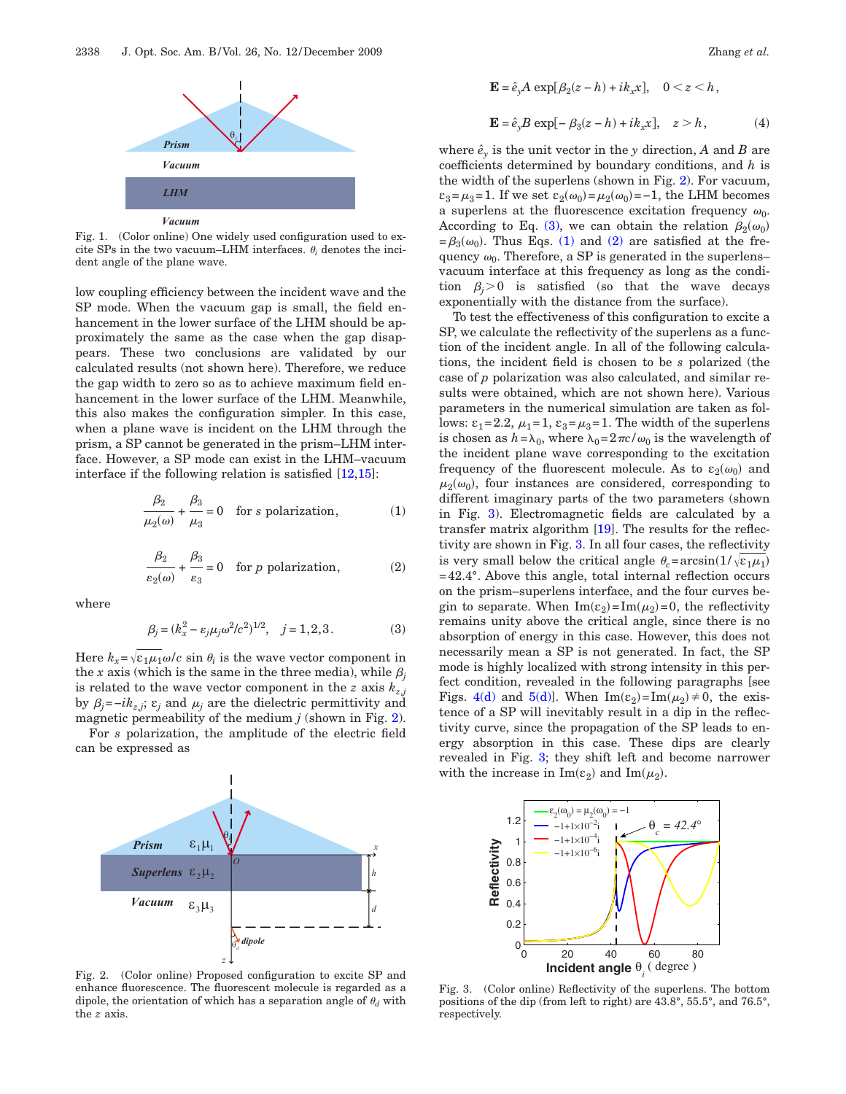<span id="page-1-0"></span>

Fig. 1. (Color online) One widely used configuration used to excite SPs in the two vacuum–LHM interfaces.  $\theta_i$  denotes the incident angle of the plane wave.

low coupling efficiency between the incident wave and the SP mode. When the vacuum gap is small, the field enhancement in the lower surface of the LHM should be approximately the same as the case when the gap disappears. These two conclusions are validated by our calculated results (not shown here). Therefore, we reduce the gap width to zero so as to achieve maximum field enhancement in the lower surface of the LHM. Meanwhile, this also makes the configuration simpler. In this case, when a plane wave is incident on the LHM through the prism, a SP cannot be generated in the prism–LHM interface. However, a SP mode can exist in the LHM–vacuum interface if the following relation is satisfied [\[12,](#page-4-5)[15\]](#page-4-6):

<span id="page-1-3"></span>
$$
\frac{\beta_2}{\mu_2(\omega)} + \frac{\beta_3}{\mu_3} = 0 \quad \text{for } s \text{ polarization}, \tag{1}
$$

$$
\frac{\beta_2}{\varepsilon_2(\omega)} + \frac{\beta_3}{\varepsilon_3} = 0 \quad \text{for } p \text{ polarization}, \tag{2}
$$

<span id="page-1-4"></span><span id="page-1-2"></span>where

$$
\beta_j = (k_x^2 - \varepsilon_j \mu_j \omega^2 / c^2)^{1/2}, \quad j = 1, 2, 3. \tag{3}
$$

Here  $k_x = \sqrt{\varepsilon_1 \mu_1} \omega/c$  sin  $\theta_i$  is the wave vector component in the *x* axis (which is the same in the three media), while  $\beta_i$ is related to the wave vector component in the *z* axis  $k_{z,i}$ by  $\beta_j = -ik_{z,j}$ ;  $\varepsilon_j$  and  $\mu_j$  are the dielectric permittivity and magnetic permeability of the medium *j* (shown in Fig. [2\)](#page-1-1).

For *s* polarization, the amplitude of the electric field can be expressed as

<span id="page-1-1"></span>

Fig. 2. (Color online) Proposed configuration to excite SP and enhance fluorescence. The fluorescent molecule is regarded as a dipole, the orientation of which has a separation angle of  $\theta_d$  with the *z* axis.

<span id="page-1-6"></span>
$$
\mathbf{E} = \hat{e}_y A \exp[\beta_2(z - h) + ik_x x], \quad 0 < z < h,
$$
\n
$$
\mathbf{E} = \hat{e}_y B \exp[-\beta_3(z - h) + ik_x x], \quad z > h,
$$
\n
$$
\tag{4}
$$

where  $\hat{e}_y$  is the unit vector in the *y* direction, *A* and *B* are coefficients determined by boundary conditions, and *h* is the width of the superlens (shown in Fig. [2\)](#page-1-1). For vacuum,  $\varepsilon_3 = \mu_3 = 1$ . If we set  $\varepsilon_2(\omega_0) = \mu_2(\omega_0) = -1$ , the LHM becomes a superlens at the fluorescence excitation frequency  $\omega_0$ . According to Eq. [\(3\),](#page-1-2) we can obtain the relation  $\beta_2(\omega_0)$  $=\beta_3(\omega_0)$ . Thus Eqs. [\(1\)](#page-1-3) and [\(2\)](#page-1-4) are satisfied at the frequency  $\omega_0$ . Therefore, a SP is generated in the superlens– vacuum interface at this frequency as long as the condition  $\beta_i$ >0 is satisfied (so that the wave decays exponentially with the distance from the surface).

To test the effectiveness of this configuration to excite a SP, we calculate the reflectivity of the superlens as a function of the incident angle. In all of the following calculations, the incident field is chosen to be *s* polarized (the case of *p* polarization was also calculated, and similar results were obtained, which are not shown here). Various parameters in the numerical simulation are taken as follows:  $\varepsilon_1 = 2.2$ ,  $\mu_1 = 1$ ,  $\varepsilon_3 = \mu_3 = 1$ . The width of the superlens is chosen as  $h = \lambda_0$ , where  $\lambda_0 = 2\pi c/\omega_0$  is the wavelength of the incident plane wave corresponding to the excitation frequency of the fluorescent molecule. As to  $\varepsilon_2(\omega_0)$  and  $\mu_2(\omega_0)$ , four instances are considered, corresponding to different imaginary parts of the two parameters (shown in Fig. [3\)](#page-1-5). Electromagnetic fields are calculated by a transfer matrix algorithm [\[19\]](#page-4-10). The results for the reflectivity are shown in Fig. [3.](#page-1-5) In all four cases, the reflectivity is very small below the critical angle  $\theta_c = \arcsin(1/\sqrt{\varepsilon_1\mu_1})$ =42.4°. Above this angle, total internal reflection occurs on the prism–superlens interface, and the four curves begin to separate. When  $\text{Im}(\varepsilon_2) = \text{Im}(\mu_2) = 0$ , the reflectivity remains unity above the critical angle, since there is no absorption of energy in this case. However, this does not necessarily mean a SP is not generated. In fact, the SP mode is highly localized with strong intensity in this perfect condition, revealed in the following paragraphs [see Figs. [4\(d\)](#page-2-0) and [5\(d\)\]](#page-2-1). When  $\text{Im}(\epsilon_2) = \text{Im}(\mu_2) \neq 0$ , the existence of a SP will inevitably result in a dip in the reflectivity curve, since the propagation of the SP leads to energy absorption in this case. These dips are clearly revealed in Fig. [3;](#page-1-5) they shift left and become narrower with the increase in  $\text{Im}(\varepsilon_2)$  and  $\text{Im}(\mu_2)$ .

<span id="page-1-5"></span>

Fig. 3. (Color online) Reflectivity of the superlens. The bottom positions of the dip (from left to right) are 43.8°, 55.5°, and 76.5°, respectively.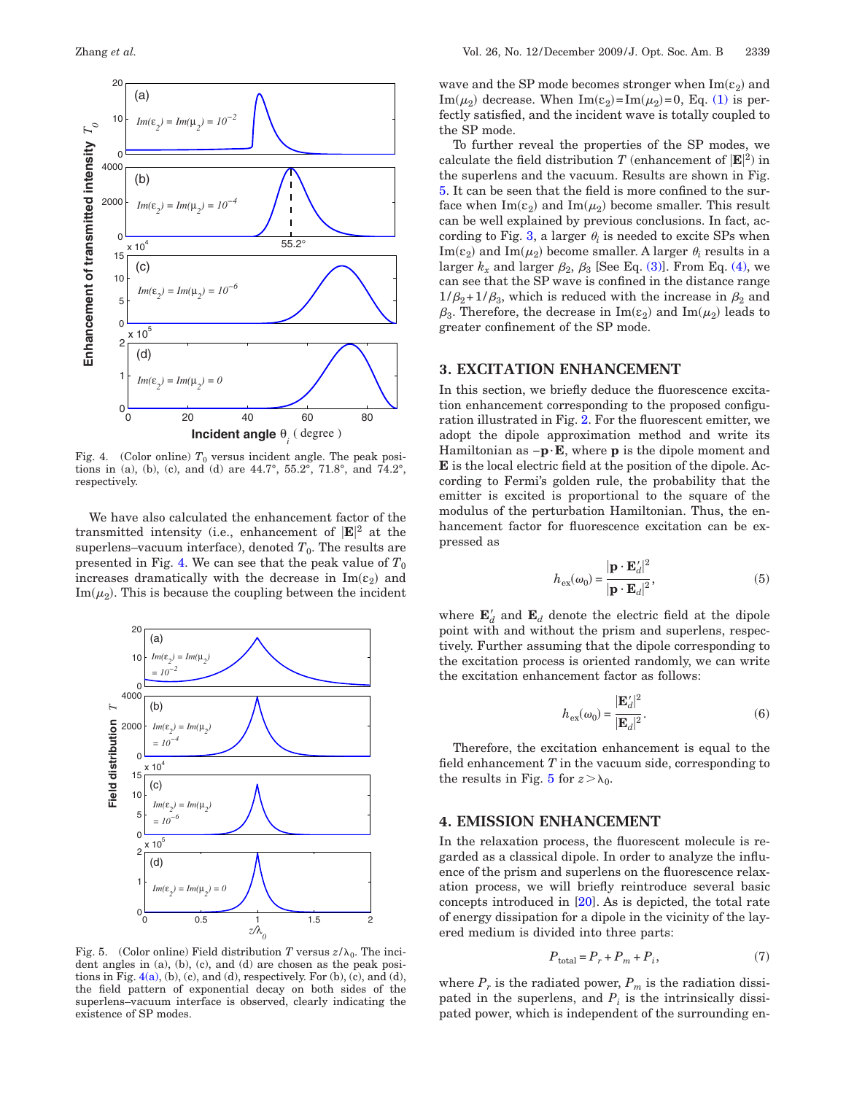<span id="page-2-0"></span>

Fig. 4. (Color online)  $T_0$  versus incident angle. The peak positions in (a), (b), (c), and (d) are  $44.7^{\circ}$ ,  $55.2^{\circ}$ ,  $71.8^{\circ}$ , and  $74.2^{\circ}$ , respectively.

We have also calculated the enhancement factor of the transmitted intensity (i.e., enhancement of **E** <sup>2</sup> at the superlens–vacuum interface), denoted  $T_0$ . The results are presented in Fig. [4.](#page-2-0) We can see that the peak value of  $T_0$ increases dramatically with the decrease in  $\text{Im}(\varepsilon_2)$  and  $\text{Im}(\mu_2)$ . This is because the coupling between the incident

<span id="page-2-1"></span>

Fig. 5. (Color online) Field distribution *T* versus  $z/\lambda_0$ . The incident angles in (a), (b), (c), and (d) are chosen as the peak positions in Fig.  $4(a)$ , (b), (c), and (d), respectively. For (b), (c), and (d), the field pattern of exponential decay on both sides of the superlens–vacuum interface is observed, clearly indicating the existence of SP modes.

wave and the SP mode becomes stronger when  $\text{Im}(\epsilon_2)$  and Im( $\mu_2$ ) decrease. When Im( $\varepsilon_2$ )=Im( $\mu_2$ )=0, Eq. [\(1\)](#page-1-3) is perfectly satisfied, and the incident wave is totally coupled to the SP mode.

To further reveal the properties of the SP modes, we calculate the field distribution *T* (enhancement of  $|\mathbf{E}|^2$ ) in the superlens and the vacuum. Results are shown in Fig. [5.](#page-2-1) It can be seen that the field is more confined to the surface when  $\text{Im}(\varepsilon_2)$  and  $\text{Im}(\mu_2)$  become smaller. This result can be well explained by previous conclusions. In fact, ac-cording to Fig. [3,](#page-1-5) a larger  $\theta_i$  is needed to excite SPs when  $\text{Im}(\varepsilon_2)$  and  $\text{Im}(\mu_2)$  become smaller. A larger  $\theta_i$  results in a larger  $k_x$  and larger  $\beta_2$ ,  $\beta_3$  [See Eq. [\(3\)\]](#page-1-2). From Eq. [\(4\),](#page-1-6) we can see that the SP wave is confined in the distance range  $1/\beta_2+1/\beta_3$ , which is reduced with the increase in  $\beta_2$  and  $\beta_3$ . Therefore, the decrease in  $\text{Im}(\epsilon_2)$  and  $\text{Im}(\mu_2)$  leads to greater confinement of the SP mode.

# **3. EXCITATION ENHANCEMENT**

In this section, we briefly deduce the fluorescence excitation enhancement corresponding to the proposed configuration illustrated in Fig. [2.](#page-1-1) For the fluorescent emitter, we adopt the dipole approximation method and write its Hamiltonian as −**p**·**E**, where **p** is the dipole moment and **E** is the local electric field at the position of the dipole. According to Fermi's golden rule, the probability that the emitter is excited is proportional to the square of the modulus of the perturbation Hamiltonian. Thus, the enhancement factor for fluorescence excitation can be expressed as

$$
h_{\text{ex}}(\omega_0) = \frac{|\mathbf{p} \cdot \mathbf{E}_d'|^2}{|\mathbf{p} \cdot \mathbf{E}_d|^2},\tag{5}
$$

where  $\mathbf{E}'_d$  and  $\mathbf{E}_d$  denote the electric field at the dipole point with and without the prism and superlens, respectively. Further assuming that the dipole corresponding to the excitation process is oriented randomly, we can write the excitation enhancement factor as follows:

$$
h_{\text{ex}}(\omega_0) = \frac{|\mathbf{E}_d'|^2}{|\mathbf{E}_d|^2}.
$$
 (6)

Therefore, the excitation enhancement is equal to the field enhancement *T* in the vacuum side, corresponding to the results in Fig. [5](#page-2-1) for  $z > \lambda_0$ .

### **4. EMISSION ENHANCEMENT**

In the relaxation process, the fluorescent molecule is regarded as a classical dipole. In order to analyze the influence of the prism and superlens on the fluorescence relaxation process, we will briefly reintroduce several basic concepts introduced in [\[20\]](#page-4-11). As is depicted, the total rate of energy dissipation for a dipole in the vicinity of the layered medium is divided into three parts:

$$
P_{\text{total}} = P_r + P_m + P_i,\tag{7}
$$

where  $P_r$  is the radiated power,  $P_m$  is the radiation dissipated in the superlens, and  $P_i$  is the intrinsically dissipated power, which is independent of the surrounding en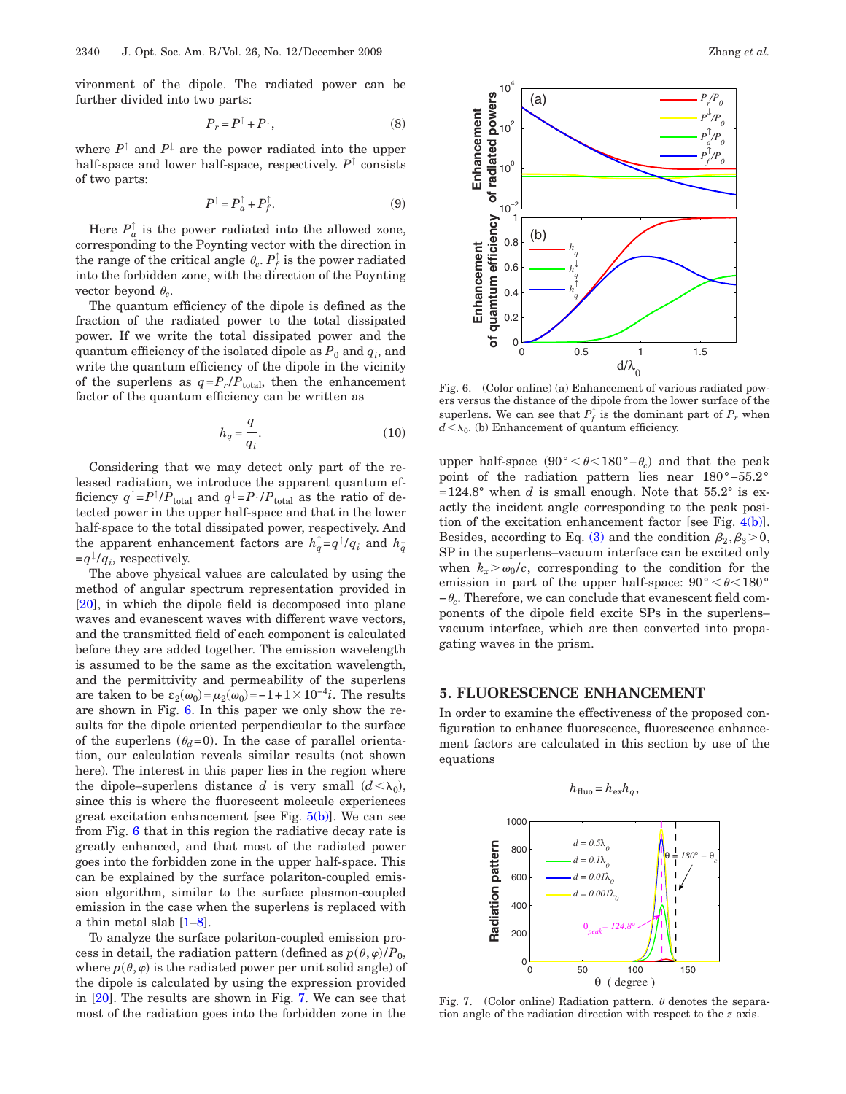vironment of the dipole. The radiated power can be further divided into two parts:

$$
P_r = P^\uparrow + P^\downarrow,\tag{8}
$$

where  $P^{\uparrow}$  and  $P^{\downarrow}$  are the power radiated into the upper half-space and lower half-space, respectively. *P*↑ consists of two parts:

$$
P^{\uparrow} = P_a^{\uparrow} + P_f^{\uparrow}.
$$
 (9)

Here  $P_a^{\dagger}$  is the power radiated into the allowed zone, corresponding to the Poynting vector with the direction in the range of the critical angle  $\theta_c$ .  $P_f^{\dagger}$  is the power radiated into the forbidden zone, with the direction of the Poynting vector beyond  $\theta_c$ .

The quantum efficiency of the dipole is defined as the fraction of the radiated power to the total dissipated power. If we write the total dissipated power and the quantum efficiency of the isolated dipole as  $P_0$  and  $q_i$ , and write the quantum efficiency of the dipole in the vicinity of the superlens as  $q = P_r / P_{total}$ , then the enhancement factor of the quantum efficiency can be written as

$$
h_q = \frac{q}{q_i}.\tag{10}
$$

Considering that we may detect only part of the released radiation, we introduce the apparent quantum efficiency  $q^{\dagger} = P^{\dagger}/P_{\text{total}}$  and  $q^{\dagger} = P^{\dagger}/P_{\text{total}}$  as the ratio of detected power in the upper half-space and that in the lower half-space to the total dissipated power, respectively. And the apparent enhancement factors are  $h_q^{\dagger} = q^{\dagger} / q_i$  and  $h_q^{\dagger}$  $=q^{\downarrow}/q_i$ , respectively.

The above physical values are calculated by using the method of angular spectrum representation provided in [\[20\]](#page-4-11), in which the dipole field is decomposed into plane waves and evanescent waves with different wave vectors, and the transmitted field of each component is calculated before they are added together. The emission wavelength is assumed to be the same as the excitation wavelength, and the permittivity and permeability of the superlens are taken to be  $\varepsilon_2(\omega_0) = \mu_2(\omega_0) = -1 + 1 \times 10^{-4}i$ . The results are shown in Fig. [6.](#page-3-0) In this paper we only show the results for the dipole oriented perpendicular to the surface of the superlens  $(\theta_d=0)$ . In the case of parallel orientation, our calculation reveals similar results (not shown here). The interest in this paper lies in the region where the dipole–superlens distance *d* is very small  $(d < \lambda_0)$ , since this is where the fluorescent molecule experiences great excitation enhancement [see Fig.  $5(b)$ ]. We can see from Fig. [6](#page-3-0) that in this region the radiative decay rate is greatly enhanced, and that most of the radiated power goes into the forbidden zone in the upper half-space. This can be explained by the surface polariton-coupled emission algorithm, similar to the surface plasmon-coupled emission in the case when the superlens is replaced with a thin metal slab [\[1–](#page-4-0)[8\]](#page-4-1).

To analyze the surface polariton-coupled emission process in detail, the radiation pattern (defined as  $p(\theta, \varphi)/P_0$ , where  $p(\theta,\varphi)$  is the radiated power per unit solid angle) of the dipole is calculated by using the expression provided in [\[20\]](#page-4-11). The results are shown in Fig. [7.](#page-3-1) We can see that most of the radiation goes into the forbidden zone in the

<span id="page-3-0"></span>

Fig. 6. (Color online) (a) Enhancement of various radiated powers versus the distance of the dipole from the lower surface of the superlens. We can see that  $P_f^{\dagger}$  is the dominant part of  $P_r$  when  $d<\lambda_0$ . (b) Enhancement of quantum efficiency.

upper half-space  $(90° < \theta < 180° - \theta_c)$  and that the peak point of the radiation pattern lies near 180°−55.2°  $=124.8^{\circ}$  when *d* is small enough. Note that 55.2° is exactly the incident angle corresponding to the peak position of the excitation enhancement factor [see Fig. [4\(b\)\]](#page-2-0). Besides, according to Eq. [\(3\)](#page-1-2) and the condition  $\beta_2, \beta_3 > 0$ , SP in the superlens–vacuum interface can be excited only when  $k_x > \omega_0/c$ , corresponding to the condition for the emission in part of the upper half-space:  $90^{\circ} < \theta < 180^{\circ}$ −*c*. Therefore, we can conclude that evanescent field components of the dipole field excite SPs in the superlens– vacuum interface, which are then converted into propagating waves in the prism.

#### **5. FLUORESCENCE ENHANCEMENT**

In order to examine the effectiveness of the proposed configuration to enhance fluorescence, fluorescence enhancement factors are calculated in this section by use of the equations

<span id="page-3-1"></span>

Fig. 7. (Color online) Radiation pattern.  $\theta$  denotes the separation angle of the radiation direction with respect to the *z* axis.